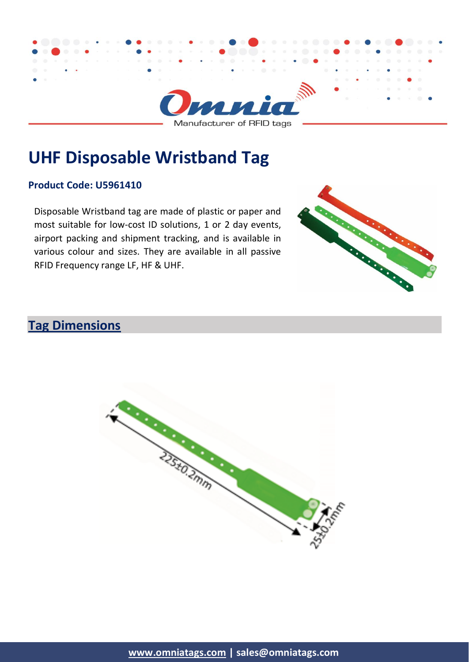

Manufacturer of RFID tags

# **UHF Disposable Wristband Tag**

#### **Product Code: U5961410**

Disposable Wristband tag are made of plastic or paper and most suitable for low-cost ID solutions, 1 or 2 day events, airport packing and shipment tracking, and is available in various colour and sizes. They are available in all passive RFID Frequency range LF, HF & UHF.



# **Tag Dimensions**

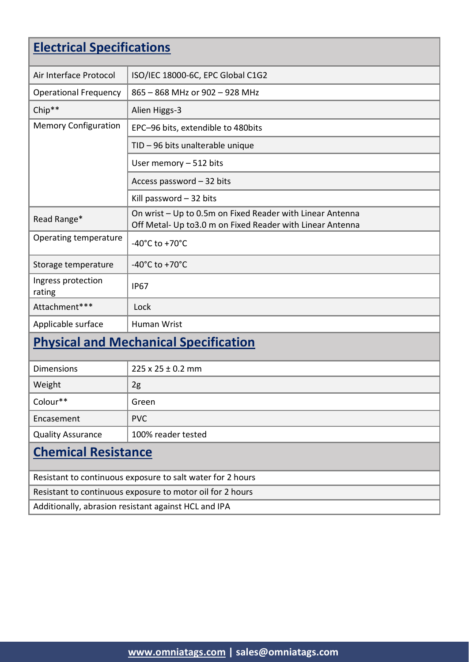| <b>Electrical Specifications</b>             |                                                                                                                         |  |
|----------------------------------------------|-------------------------------------------------------------------------------------------------------------------------|--|
| Air Interface Protocol                       | ISO/IEC 18000-6C, EPC Global C1G2                                                                                       |  |
| <b>Operational Frequency</b>                 | 865 - 868 MHz or 902 - 928 MHz                                                                                          |  |
| Chip**                                       | Alien Higgs-3                                                                                                           |  |
| <b>Memory Configuration</b>                  | EPC-96 bits, extendible to 480bits                                                                                      |  |
|                                              | TID - 96 bits unalterable unique                                                                                        |  |
|                                              | User memory - 512 bits                                                                                                  |  |
|                                              | Access password - 32 bits                                                                                               |  |
|                                              | Kill password $-32$ bits                                                                                                |  |
| Read Range*                                  | On wrist - Up to 0.5m on Fixed Reader with Linear Antenna<br>Off Metal- Up to 3.0 m on Fixed Reader with Linear Antenna |  |
| Operating temperature                        | -40 $^{\circ}$ C to +70 $^{\circ}$ C                                                                                    |  |
| Storage temperature                          | -40 $^{\circ}$ C to +70 $^{\circ}$ C                                                                                    |  |
| Ingress protection<br>rating                 | <b>IP67</b>                                                                                                             |  |
| Attachment***                                | Lock                                                                                                                    |  |
| Applicable surface                           | Human Wrist                                                                                                             |  |
| <b>Physical and Mechanical Specification</b> |                                                                                                                         |  |

| Chamical Desistance      |                            |
|--------------------------|----------------------------|
| <b>Quality Assurance</b> | 100% reader tested         |
| Encasement               | <b>PVC</b>                 |
| Colour**                 | Green                      |
| Weight                   | 2g                         |
| <b>Dimensions</b>        | $225 \times 25 \pm 0.2$ mm |

#### **Chemical Resistance**

Resistant to continuous exposure to salt water for 2 hours Resistant to continuous exposure to motor oil for 2 hours Additionally, abrasion resistant against HCL and IPA